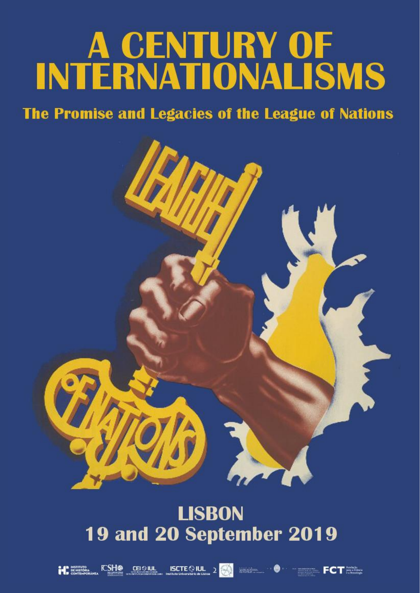# A CENTURY OF<br>INTERNATIONALISMS

# The Promise and Legacies of the League of Nations



# **LISBON 19 and 20 September 2019**





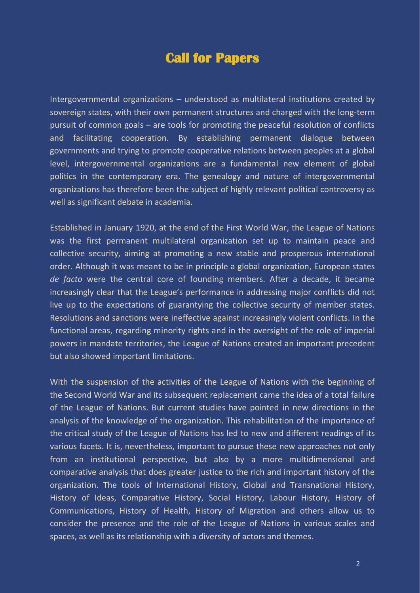## **Call for Papers**

Intergovernmental organizations – understood as multilateral institutions created by sovereign states, with their own permanent structures and charged with the long-term pursuit of common goals – are tools for promoting the peaceful resolution of conflicts and facilitating cooperation. By establishing permanent dialogue between governments and trying to promote cooperative relations between peoples at a global level, intergovernmental organizations are a fundamental new element of global politics in the contemporary era. The genealogy and nature of intergovernmental organizations has therefore been the subject of highly relevant political controversy as well as significant debate in academia.

Established in January 1920, at the end of the First World War, the League of Nations was the first permanent multilateral organization set up to maintain peace and collective security, aiming at promoting a new stable and prosperous international order. Although it was meant to be in principle a global organization, European states *de facto* were the central core of founding members. After a decade, it became increasingly clear that the League's performance in addressing major conflicts did not live up to the expectations of guarantying the collective security of member states. Resolutions and sanctions were ineffective against increasingly violent conflicts. In the functional areas, regarding minority rights and in the oversight of the role of imperial powers in mandate territories, the League of Nations created an important precedent but also showed important limitations.

With the suspension of the activities of the League of Nations with the beginning of the Second World War and its subsequent replacement came the idea of a total failure of the League of Nations. But current studies have pointed in new directions in the analysis of the knowledge of the organization. This rehabilitation of the importance of the critical study of the League of Nations has led to new and different readings of its various facets. It is, nevertheless, important to pursue these new approaches not only from an institutional perspective, but also by a more multidimensional and comparative analysis that does greater justice to the rich and important history of the organization. The tools of International History, Global and Transnational History, History of Ideas, Comparative History, Social History, Labour History, History of Communications, History of Health, History of Migration and others allow us to consider the presence and the role of the League of Nations in various scales and spaces, as well as its relationship with a diversity of actors and themes.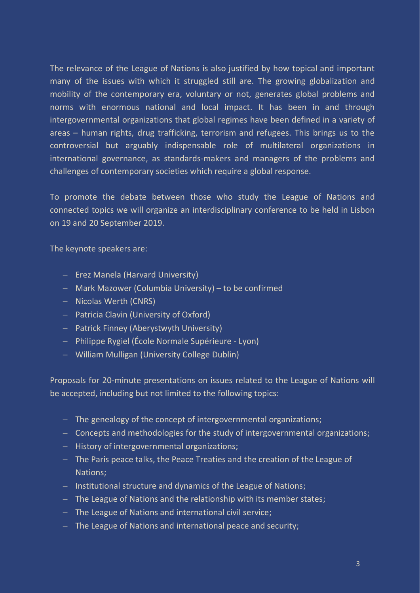The relevance of the League of Nations is also justified by how topical and important many of the issues with which it struggled still are. The growing globalization and mobility of the contemporary era, voluntary or not, generates global problems and norms with enormous national and local impact. It has been in and through intergovernmental organizations that global regimes have been defined in a variety of areas – human rights, drug trafficking, terrorism and refugees. This brings us to the controversial but arguably indispensable role of multilateral organizations in international governance, as standards-makers and managers of the problems and challenges of contemporary societies which require a global response.

To promote the debate between those who study the League of Nations and connected topics we will organize an interdisciplinary conference to be held in Lisbon on 19 and 20 September 2019.

The keynote speakers are:

- Erez Manela (Harvard University)
- Mark Mazower (Columbia University) to be confirmed
- Nicolas Werth (CNRS)
- Patricia Clavin (University of Oxford)
- Patrick Finney (Aberystwyth University)
- Philippe Rygiel (École Normale Supérieure Lyon)
- William Mulligan (University College Dublin)

Proposals for 20-minute presentations on issues related to the League of Nations will be accepted, including but not limited to the following topics:

- The genealogy of the concept of intergovernmental organizations;
- Concepts and methodologies for the study of intergovernmental organizations;
- $-$  History of intergovernmental organizations;
- The Paris peace talks, the Peace Treaties and the creation of the League of Nations;
- $-$  Institutional structure and dynamics of the League of Nations;
- The League of Nations and the relationship with its member states;
- The League of Nations and international civil service;
- The League of Nations and international peace and security;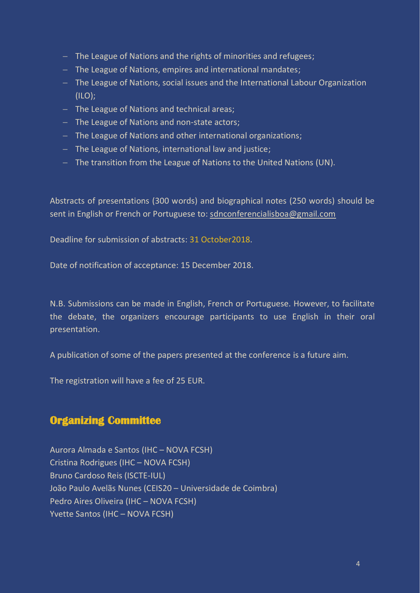- The League of Nations and the rights of minorities and refugees;
- The League of Nations, empires and international mandates;
- The League of Nations, social issues and the International Labour Organization (ILO);
- The League of Nations and technical areas;
- The League of Nations and non-state actors;
- The League of Nations and other international organizations;
- The League of Nations, international law and justice;
- The transition from the League of Nations to the United Nations (UN).

Abstracts of presentations (300 words) and biographical notes (250 words) should be sent in English or French or Portuguese to: [sdnconferencialisboa@gmail.com](mailto:sdnconferencialisboa@gmail.com)

Deadline for submission of abstracts: 31 October2018.

Date of notification of acceptance: 15 December 2018.

N.B. Submissions can be made in English, French or Portuguese. However, to facilitate the debate, the organizers encourage participants to use English in their oral presentation.

A publication of some of the papers presented at the conference is a future aim.

The registration will have a fee of 25 EUR.

#### **Organizing Committee**

Aurora Almada e Santos (IHC – NOVA FCSH) Cristina Rodrigues (IHC – NOVA FCSH) Bruno Cardoso Reis (ISCTE-IUL) João Paulo Avelãs Nunes (CEIS20 – Universidade de Coimbra) Pedro Aires Oliveira (IHC – NOVA FCSH) Yvette Santos (IHC – NOVA FCSH)